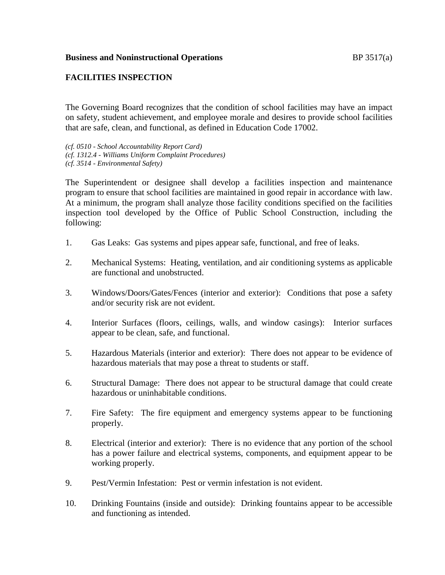## **FACILITIES INSPECTION**

The Governing Board recognizes that the condition of school facilities may have an impact on safety, student achievement, and employee morale and desires to provide school facilities that are safe, clean, and functional, as defined in Education Code 17002.

*(cf. 0510 - School Accountability Report Card) (cf. 1312.4 - Williams Uniform Complaint Procedures) (cf. 3514 - Environmental Safety)*

The Superintendent or designee shall develop a facilities inspection and maintenance program to ensure that school facilities are maintained in good repair in accordance with law. At a minimum, the program shall analyze those facility conditions specified on the facilities inspection tool developed by the Office of Public School Construction, including the following:

- 1. Gas Leaks: Gas systems and pipes appear safe, functional, and free of leaks.
- 2. Mechanical Systems: Heating, ventilation, and air conditioning systems as applicable are functional and unobstructed.
- 3. Windows/Doors/Gates/Fences (interior and exterior): Conditions that pose a safety and/or security risk are not evident.
- 4. Interior Surfaces (floors, ceilings, walls, and window casings): Interior surfaces appear to be clean, safe, and functional.
- 5. Hazardous Materials (interior and exterior): There does not appear to be evidence of hazardous materials that may pose a threat to students or staff.
- 6. Structural Damage: There does not appear to be structural damage that could create hazardous or uninhabitable conditions.
- 7. Fire Safety: The fire equipment and emergency systems appear to be functioning properly.
- 8. Electrical (interior and exterior): There is no evidence that any portion of the school has a power failure and electrical systems, components, and equipment appear to be working properly.
- 9. Pest/Vermin Infestation: Pest or vermin infestation is not evident.
- 10. Drinking Fountains (inside and outside): Drinking fountains appear to be accessible and functioning as intended.